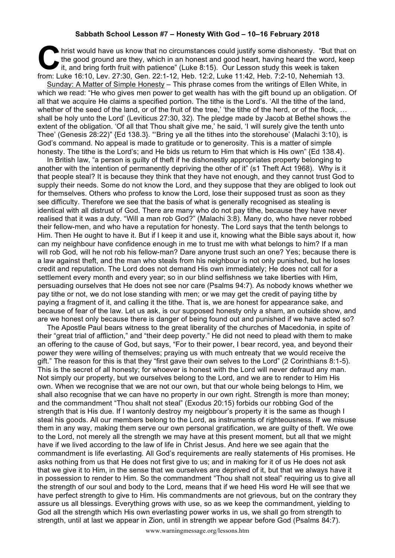## **Sabbath School Lesson #7 – Honesty With God – 10–16 February 2018**

hrist would have us know that no circumstances could justify some dishonesty. "But that on the good ground are they, which in an honest and good heart, having heard the word, keep it, and bring forth fruit with patience" (Luke 8:15). Our Lesson study this week is taken **From:** Luke 16:10, Lev. 27:30, Gen. 22:1-12, Heb. 12:2, Luke 11:42, Heb. 7:2-10, Nehemiah 13. Sunday: A Matter of Simple Honesty – This phrase comes from the writings of Ellen White, in which we read: "He who gives men power to get wealth has with the gift bound up an obligation. Of all that we acquire He claims a specified portion. The tithe is the Lord's. 'All the tithe of the land, whether of the seed of the land, or of the fruit of the tree,' 'the tithe of the herd, or of the flock, ... shall be holy unto the Lord' (Leviticus 27:30, 32). The pledge made by Jacob at Bethel shows the extent of the obligation. 'Of all that Thou shalt give me,' he said, 'I will surely give the tenth unto Thee' (Genesis 28:22)" {Ed 138.3}. "'Bring ye all the tithes into the storehouse' (Malachi 3:10), is God's command. No appeal is made to gratitude or to generosity. This is a matter of simple honesty. The tithe is the Lord's; and He bids us return to Him that which is His own" {Ed 138.4}.

In British law, "a person is guilty of theft if he dishonestly appropriates property belonging to another with the intention of permanently depriving the other of it" (s1 Theft Act 1968). Why is it that people steal? It is because they think that they have not enough, and they cannot trust God to supply their needs. Some do not know the Lord, and they suppose that they are obliged to look out for themselves. Others who profess to know the Lord, lose their supposed trust as soon as they see difficulty. Therefore we see that the basis of what is generally recognised as stealing is identical with all distrust of God. There are many who do not pay tithe, because they have never realised that it was a duty. "Will a man rob God?" (Malachi 3:8). Many do, who have never robbed their fellow-men, and who have a reputation for honesty. The Lord says that the tenth belongs to Him. Then He ought to have it. But if I keep it and use it, knowing what the Bible says about it, how can my neighbour have confidence enough in me to trust me with what belongs to him? If a man will rob God, will he not rob his fellow-man? Dare anyone trust such an one? Yes; because there is a law against theft, and the man who steals from his neighbour is not only punished, but he loses credit and reputation. The Lord does not demand His own immediately; He does not call for a settlement every month and every year; so in our blind selfishness we take liberties with Him, persuading ourselves that He does not see nor care (Psalms 94:7). As nobody knows whether we pay tithe or not, we do not lose standing with men; or we may get the credit of paying tithe by paying a fragment of it, and calling it the tithe. That is, we are honest for appearance sake, and because of fear of the law. Let us ask, is our supposed honesty only a sham, an outside show, and are we honest only because there is danger of being found out and punished if we have acted so?

The Apostle Paul bears witness to the great liberality of the churches of Macedonia, in spite of their "great trial of affliction," and "their deep poverty." He did not need to plead with them to make an offering to the cause of God, but says, "For to their power, I bear record, yea, and beyond their power they were willing of themselves; praying us with much entreaty that we would receive the gift." The reason for this is that they "first gave their own selves to the Lord" (2 Corinthians 8:1-5). This is the secret of all honesty; for whoever is honest with the Lord will never defraud any man. Not simply our property, but we ourselves belong to the Lord, and we are to render to Him His own. When we recognise that we are not our own, but that our whole being belongs to Him, we shall also recognise that we can have no property in our own right. Strength is more than money; and the commandment "Thou shalt not steal" (Exodus 20:15) forbids our robbing God of the strength that is His due. If I wantonly destroy my neigbbour's property it is the same as though I steal his goods. All our members belong to the Lord, as instruments of righteousness. If we misuse them in any way, making them serve our own personal gratification, we are guilty of theft. We owe to the Lord, not merely all the strength we may have at this present moment, but all that we might have if we lived according to the law of life in Christ Jesus. And here we see again that the commandment is life everlasting. All God's requirements are really statements of His promises. He asks nothing from us that He does not first give to us; and in making for it of us He does not ask that we give it to Him, in the sense that we ourselves are deprived of it, but that we always have it in possession to render to Him. So the commandment "Thou shalt not steal" requiring us to give all the strength of our soul and body to the Lord, means that if we heed His word He will see that we have perfect strength to give to Him. His commandments are not grievous, but on the contrary they assure us all blessings. Everything grows with use, so as we keep the commandment, yielding to God all the strength which His own everlasting power works in us, we shall go from strength to strength, until at last we appear in Zion, until in strength we appear before God (Psalms 84:7).